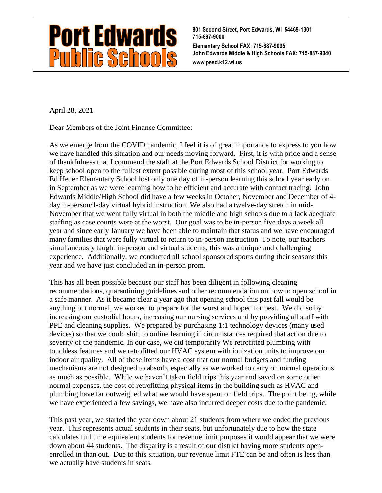

**801 Second Street, Port Edwards, WI 54469-1301 715-887-9000 Elementary School FAX: 715-887-9095 John Edwards Middle & High Schools FAX: 715-887-9040 www.pesd.k12.wi.us**

April 28, 2021

Dear Members of the Joint Finance Committee:

As we emerge from the COVID pandemic, I feel it is of great importance to express to you how we have handled this situation and our needs moving forward. First, it is with pride and a sense of thankfulness that I commend the staff at the Port Edwards School District for working to keep school open to the fullest extent possible during most of this school year. Port Edwards Ed Heuer Elementary School lost only one day of in-person learning this school year early on in September as we were learning how to be efficient and accurate with contact tracing. John Edwards Middle/High School did have a few weeks in October, November and December of 4 day in-person/1-day virtual hybrid instruction. We also had a twelve-day stretch in mid-November that we went fully virtual in both the middle and high schools due to a lack adequate staffing as case counts were at the worst. Our goal was to be in-person five days a week all year and since early January we have been able to maintain that status and we have encouraged many families that were fully virtual to return to in-person instruction. To note, our teachers simultaneously taught in-person and virtual students, this was a unique and challenging experience. Additionally, we conducted all school sponsored sports during their seasons this year and we have just concluded an in-person prom.

This has all been possible because our staff has been diligent in following cleaning recommendations, quarantining guidelines and other recommendation on how to open school in a safe manner. As it became clear a year ago that opening school this past fall would be anything but normal, we worked to prepare for the worst and hoped for best. We did so by increasing our custodial hours, increasing our nursing services and by providing all staff with PPE and cleaning supplies. We prepared by purchasing 1:1 technology devices (many used devices) so that we could shift to online learning if circumstances required that action due to severity of the pandemic. In our case, we did temporarily We retrofitted plumbing with touchless features and we retrofitted our HVAC system with ionization units to improve our indoor air quality. All of these items have a cost that our normal budgets and funding mechanisms are not designed to absorb, especially as we worked to carry on normal operations as much as possible. While we haven't taken field trips this year and saved on some other normal expenses, the cost of retrofitting physical items in the building such as HVAC and plumbing have far outweighed what we would have spent on field trips. The point being, while we have experienced a few savings, we have also incurred deeper costs due to the pandemic.

This past year, we started the year down about 21 students from where we ended the previous year. This represents actual students in their seats, but unfortunately due to how the state calculates full time equivalent students for revenue limit purposes it would appear that we were down about 44 students. The disparity is a result of our district having more students openenrolled in than out. Due to this situation, our revenue limit FTE can be and often is less than we actually have students in seats.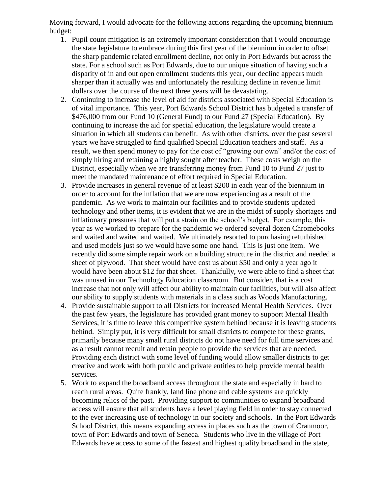Moving forward, I would advocate for the following actions regarding the upcoming biennium budget:

- 1. Pupil count mitigation is an extremely important consideration that I would encourage the state legislature to embrace during this first year of the biennium in order to offset the sharp pandemic related enrollment decline, not only in Port Edwards but across the state. For a school such as Port Edwards, due to our unique situation of having such a disparity of in and out open enrollment students this year, our decline appears much sharper than it actually was and unfortunately the resulting decline in revenue limit dollars over the course of the next three years will be devastating.
- 2. Continuing to increase the level of aid for districts associated with Special Education is of vital importance. This year, Port Edwards School District has budgeted a transfer of \$476,000 from our Fund 10 (General Fund) to our Fund 27 (Special Education). By continuing to increase the aid for special education, the legislature would create a situation in which all students can benefit. As with other districts, over the past several years we have struggled to find qualified Special Education teachers and staff. As a result, we then spend money to pay for the cost of "growing our own" and/or the cost of simply hiring and retaining a highly sought after teacher. These costs weigh on the District, especially when we are transferring money from Fund 10 to Fund 27 just to meet the mandated maintenance of effort required in Special Education.
- 3. Provide increases in general revenue of at least \$200 in each year of the biennium in order to account for the inflation that we are now experiencing as a result of the pandemic. As we work to maintain our facilities and to provide students updated technology and other items, it is evident that we are in the midst of supply shortages and inflationary pressures that will put a strain on the school's budget. For example, this year as we worked to prepare for the pandemic we ordered several dozen Chromebooks and waited and waited and waited. We ultimately resorted to purchasing refurbished and used models just so we would have some one hand. This is just one item. We recently did some simple repair work on a building structure in the district and needed a sheet of plywood. That sheet would have cost us about \$50 and only a year ago it would have been about \$12 for that sheet. Thankfully, we were able to find a sheet that was unused in our Technology Education classroom. But consider, that is a cost increase that not only will affect our ability to maintain our facilities, but will also affect our ability to supply students with materials in a class such as Woods Manufacturing.
- 4. Provide sustainable support to all Districts for increased Mental Health Services. Over the past few years, the legislature has provided grant money to support Mental Health Services, it is time to leave this competitive system behind because it is leaving students behind. Simply put, it is very difficult for small districts to compete for these grants, primarily because many small rural districts do not have need for full time services and as a result cannot recruit and retain people to provide the services that are needed. Providing each district with some level of funding would allow smaller districts to get creative and work with both public and private entities to help provide mental health services.
- 5. Work to expand the broadband access throughout the state and especially in hard to reach rural areas. Quite frankly, land line phone and cable systems are quickly becoming relics of the past. Providing support to communities to expand broadband access will ensure that all students have a level playing field in order to stay connected to the ever increasing use of technology in our society and schools. In the Port Edwards School District, this means expanding access in places such as the town of Cranmoor, town of Port Edwards and town of Seneca. Students who live in the village of Port Edwards have access to some of the fastest and highest quality broadband in the state,